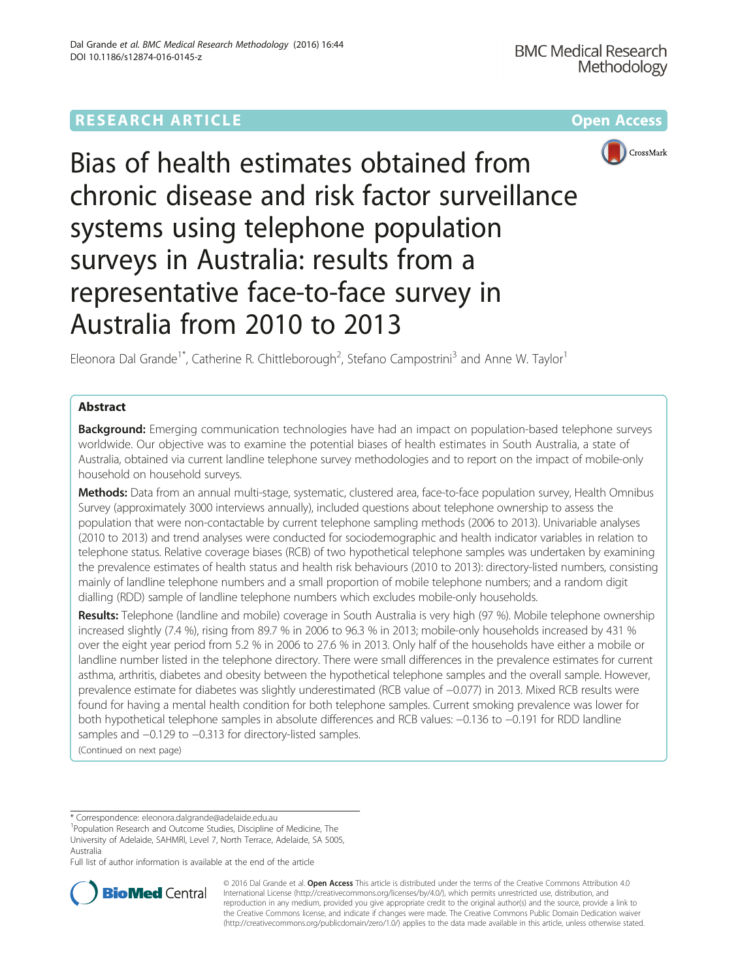# **RESEARCH ARTICLE Example 2014 12:30 The Contract of Contract Article 2014**



Bias of health estimates obtained from chronic disease and risk factor surveillance systems using telephone population surveys in Australia: results from a representative face-to-face survey in Australia from 2010 to 2013

Eleonora Dal Grande<sup>1\*</sup>, Catherine R. Chittleborough<sup>2</sup>, Stefano Campostrini<sup>3</sup> and Anne W. Taylor<sup>1</sup>

## Abstract

**Background:** Emerging communication technologies have had an impact on population-based telephone surveys worldwide. Our objective was to examine the potential biases of health estimates in South Australia, a state of Australia, obtained via current landline telephone survey methodologies and to report on the impact of mobile-only household on household surveys.

Methods: Data from an annual multi-stage, systematic, clustered area, face-to-face population survey, Health Omnibus Survey (approximately 3000 interviews annually), included questions about telephone ownership to assess the population that were non-contactable by current telephone sampling methods (2006 to 2013). Univariable analyses (2010 to 2013) and trend analyses were conducted for sociodemographic and health indicator variables in relation to telephone status. Relative coverage biases (RCB) of two hypothetical telephone samples was undertaken by examining the prevalence estimates of health status and health risk behaviours (2010 to 2013): directory-listed numbers, consisting mainly of landline telephone numbers and a small proportion of mobile telephone numbers; and a random digit dialling (RDD) sample of landline telephone numbers which excludes mobile-only households.

Results: Telephone (landline and mobile) coverage in South Australia is very high (97 %). Mobile telephone ownership increased slightly (7.4 %), rising from 89.7 % in 2006 to 96.3 % in 2013; mobile-only households increased by 431 % over the eight year period from 5.2 % in 2006 to 27.6 % in 2013. Only half of the households have either a mobile or landline number listed in the telephone directory. There were small differences in the prevalence estimates for current asthma, arthritis, diabetes and obesity between the hypothetical telephone samples and the overall sample. However, prevalence estimate for diabetes was slightly underestimated (RCB value of −0.077) in 2013. Mixed RCB results were found for having a mental health condition for both telephone samples. Current smoking prevalence was lower for both hypothetical telephone samples in absolute differences and RCB values: −0.136 to −0.191 for RDD landline samples and −0.129 to −0.313 for directory-listed samples.

(Continued on next page)

\* Correspondence: [eleonora.dalgrande@adelaide.edu.au](mailto:eleonora.dalgrande@adelaide.edu.au) <sup>1</sup>

<sup>1</sup>Population Research and Outcome Studies, Discipline of Medicine, The University of Adelaide, SAHMRI, Level 7, North Terrace, Adelaide, SA 5005, Australia

Full list of author information is available at the end of the article



© 2016 Dal Grande et al. Open Access This article is distributed under the terms of the Creative Commons Attribution 4.0 International License [\(http://creativecommons.org/licenses/by/4.0/](http://creativecommons.org/licenses/by/4.0/)), which permits unrestricted use, distribution, and reproduction in any medium, provided you give appropriate credit to the original author(s) and the source, provide a link to the Creative Commons license, and indicate if changes were made. The Creative Commons Public Domain Dedication waiver [\(http://creativecommons.org/publicdomain/zero/1.0/](http://creativecommons.org/publicdomain/zero/1.0/)) applies to the data made available in this article, unless otherwise stated.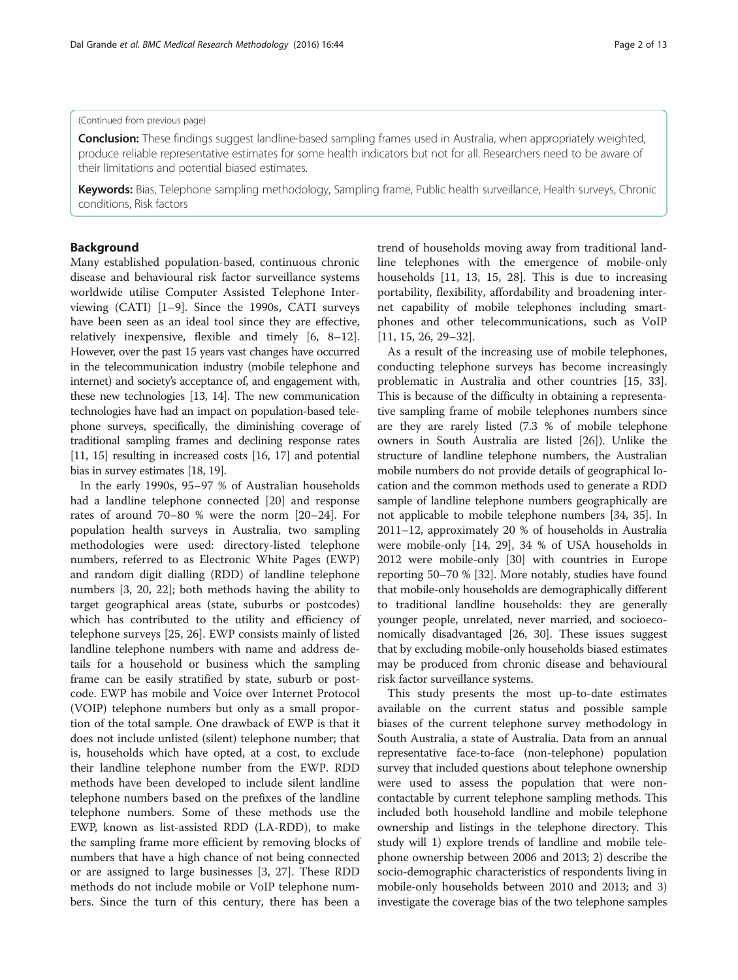#### (Continued from previous page)

Conclusion: These findings suggest landline-based sampling frames used in Australia, when appropriately weighted, produce reliable representative estimates for some health indicators but not for all. Researchers need to be aware of their limitations and potential biased estimates.

Keywords: Bias, Telephone sampling methodology, Sampling frame, Public health surveillance, Health surveys, Chronic conditions, Risk factors

## Background

Many established population-based, continuous chronic disease and behavioural risk factor surveillance systems worldwide utilise Computer Assisted Telephone Interviewing (CATI) [\[1](#page-11-0)–[9](#page-11-0)]. Since the 1990s, CATI surveys have been seen as an ideal tool since they are effective, relatively inexpensive, flexible and timely [[6](#page-11-0), [8](#page-11-0)–[12](#page-11-0)]. However, over the past 15 years vast changes have occurred in the telecommunication industry (mobile telephone and internet) and society's acceptance of, and engagement with, these new technologies [\[13](#page-11-0), [14\]](#page-11-0). The new communication technologies have had an impact on population-based telephone surveys, specifically, the diminishing coverage of traditional sampling frames and declining response rates [[11](#page-11-0), [15](#page-11-0)] resulting in increased costs [[16, 17](#page-11-0)] and potential bias in survey estimates [\[18, 19\]](#page-11-0).

In the early 1990s, 95–97 % of Australian households had a landline telephone connected [\[20](#page-11-0)] and response rates of around 70–80 % were the norm [\[20](#page-11-0)–[24\]](#page-11-0). For population health surveys in Australia, two sampling methodologies were used: directory-listed telephone numbers, referred to as Electronic White Pages (EWP) and random digit dialling (RDD) of landline telephone numbers [[3](#page-11-0), [20](#page-11-0), [22\]](#page-11-0); both methods having the ability to target geographical areas (state, suburbs or postcodes) which has contributed to the utility and efficiency of telephone surveys [[25, 26\]](#page-11-0). EWP consists mainly of listed landline telephone numbers with name and address details for a household or business which the sampling frame can be easily stratified by state, suburb or postcode. EWP has mobile and Voice over Internet Protocol (VOIP) telephone numbers but only as a small proportion of the total sample. One drawback of EWP is that it does not include unlisted (silent) telephone number; that is, households which have opted, at a cost, to exclude their landline telephone number from the EWP. RDD methods have been developed to include silent landline telephone numbers based on the prefixes of the landline telephone numbers. Some of these methods use the EWP, known as list-assisted RDD (LA-RDD), to make the sampling frame more efficient by removing blocks of numbers that have a high chance of not being connected or are assigned to large businesses [\[3,](#page-11-0) [27](#page-12-0)]. These RDD methods do not include mobile or VoIP telephone numbers. Since the turn of this century, there has been a

trend of households moving away from traditional landline telephones with the emergence of mobile-only households [[11, 13, 15](#page-11-0), [28](#page-12-0)]. This is due to increasing portability, flexibility, affordability and broadening internet capability of mobile telephones including smartphones and other telecommunications, such as VoIP [[11, 15, 26,](#page-11-0) [29](#page-12-0)–[32](#page-12-0)].

As a result of the increasing use of mobile telephones, conducting telephone surveys has become increasingly problematic in Australia and other countries [\[15](#page-11-0), [33](#page-12-0)]. This is because of the difficulty in obtaining a representative sampling frame of mobile telephones numbers since are they are rarely listed (7.3 % of mobile telephone owners in South Australia are listed [\[26](#page-11-0)]). Unlike the structure of landline telephone numbers, the Australian mobile numbers do not provide details of geographical location and the common methods used to generate a RDD sample of landline telephone numbers geographically are not applicable to mobile telephone numbers [\[34](#page-12-0), [35\]](#page-12-0). In 2011–12, approximately 20 % of households in Australia were mobile-only [\[14,](#page-11-0) [29\]](#page-12-0), 34 % of USA households in 2012 were mobile-only [\[30](#page-12-0)] with countries in Europe reporting 50–70 % [[32](#page-12-0)]. More notably, studies have found that mobile-only households are demographically different to traditional landline households: they are generally younger people, unrelated, never married, and socioeconomically disadvantaged [[26](#page-11-0), [30\]](#page-12-0). These issues suggest that by excluding mobile-only households biased estimates may be produced from chronic disease and behavioural risk factor surveillance systems.

This study presents the most up-to-date estimates available on the current status and possible sample biases of the current telephone survey methodology in South Australia, a state of Australia. Data from an annual representative face-to-face (non-telephone) population survey that included questions about telephone ownership were used to assess the population that were noncontactable by current telephone sampling methods. This included both household landline and mobile telephone ownership and listings in the telephone directory. This study will 1) explore trends of landline and mobile telephone ownership between 2006 and 2013; 2) describe the socio-demographic characteristics of respondents living in mobile-only households between 2010 and 2013; and 3) investigate the coverage bias of the two telephone samples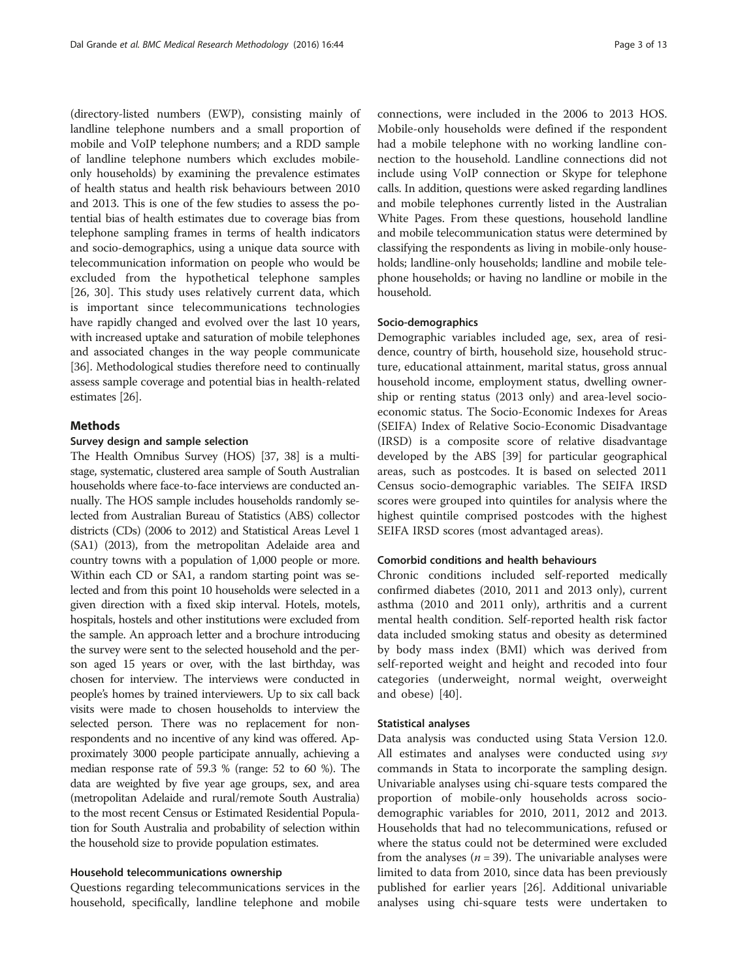(directory-listed numbers (EWP), consisting mainly of landline telephone numbers and a small proportion of mobile and VoIP telephone numbers; and a RDD sample of landline telephone numbers which excludes mobileonly households) by examining the prevalence estimates of health status and health risk behaviours between 2010 and 2013. This is one of the few studies to assess the potential bias of health estimates due to coverage bias from telephone sampling frames in terms of health indicators and socio-demographics, using a unique data source with telecommunication information on people who would be excluded from the hypothetical telephone samples [[26,](#page-11-0) [30](#page-12-0)]. This study uses relatively current data, which is important since telecommunications technologies have rapidly changed and evolved over the last 10 years, with increased uptake and saturation of mobile telephones and associated changes in the way people communicate [[36](#page-12-0)]. Methodological studies therefore need to continually assess sample coverage and potential bias in health-related estimates [\[26](#page-11-0)].

## **Methods**

#### Survey design and sample selection

The Health Omnibus Survey (HOS) [[37, 38](#page-12-0)] is a multistage, systematic, clustered area sample of South Australian households where face-to-face interviews are conducted annually. The HOS sample includes households randomly selected from Australian Bureau of Statistics (ABS) collector districts (CDs) (2006 to 2012) and Statistical Areas Level 1 (SA1) (2013), from the metropolitan Adelaide area and country towns with a population of 1,000 people or more. Within each CD or SA1, a random starting point was selected and from this point 10 households were selected in a given direction with a fixed skip interval. Hotels, motels, hospitals, hostels and other institutions were excluded from the sample. An approach letter and a brochure introducing the survey were sent to the selected household and the person aged 15 years or over, with the last birthday, was chosen for interview. The interviews were conducted in people's homes by trained interviewers. Up to six call back visits were made to chosen households to interview the selected person. There was no replacement for nonrespondents and no incentive of any kind was offered. Approximately 3000 people participate annually, achieving a median response rate of 59.3 % (range: 52 to 60 %). The data are weighted by five year age groups, sex, and area (metropolitan Adelaide and rural/remote South Australia) to the most recent Census or Estimated Residential Population for South Australia and probability of selection within the household size to provide population estimates.

#### Household telecommunications ownership

Questions regarding telecommunications services in the household, specifically, landline telephone and mobile

connections, were included in the 2006 to 2013 HOS. Mobile-only households were defined if the respondent had a mobile telephone with no working landline connection to the household. Landline connections did not include using VoIP connection or Skype for telephone calls. In addition, questions were asked regarding landlines and mobile telephones currently listed in the Australian White Pages. From these questions, household landline and mobile telecommunication status were determined by classifying the respondents as living in mobile-only households; landline-only households; landline and mobile telephone households; or having no landline or mobile in the household.

#### Socio-demographics

Demographic variables included age, sex, area of residence, country of birth, household size, household structure, educational attainment, marital status, gross annual household income, employment status, dwelling ownership or renting status (2013 only) and area-level socioeconomic status. The Socio-Economic Indexes for Areas (SEIFA) Index of Relative Socio-Economic Disadvantage (IRSD) is a composite score of relative disadvantage developed by the ABS [[39](#page-12-0)] for particular geographical areas, such as postcodes. It is based on selected 2011 Census socio-demographic variables. The SEIFA IRSD scores were grouped into quintiles for analysis where the highest quintile comprised postcodes with the highest SEIFA IRSD scores (most advantaged areas).

## Comorbid conditions and health behaviours

Chronic conditions included self-reported medically confirmed diabetes (2010, 2011 and 2013 only), current asthma (2010 and 2011 only), arthritis and a current mental health condition. Self-reported health risk factor data included smoking status and obesity as determined by body mass index (BMI) which was derived from self-reported weight and height and recoded into four categories (underweight, normal weight, overweight and obese) [[40\]](#page-12-0).

#### Statistical analyses

Data analysis was conducted using Stata Version 12.0. All estimates and analyses were conducted using  $s\nu\gamma$ commands in Stata to incorporate the sampling design. Univariable analyses using chi-square tests compared the proportion of mobile-only households across sociodemographic variables for 2010, 2011, 2012 and 2013. Households that had no telecommunications, refused or where the status could not be determined were excluded from the analyses ( $n = 39$ ). The univariable analyses were limited to data from 2010, since data has been previously published for earlier years [\[26](#page-11-0)]. Additional univariable analyses using chi-square tests were undertaken to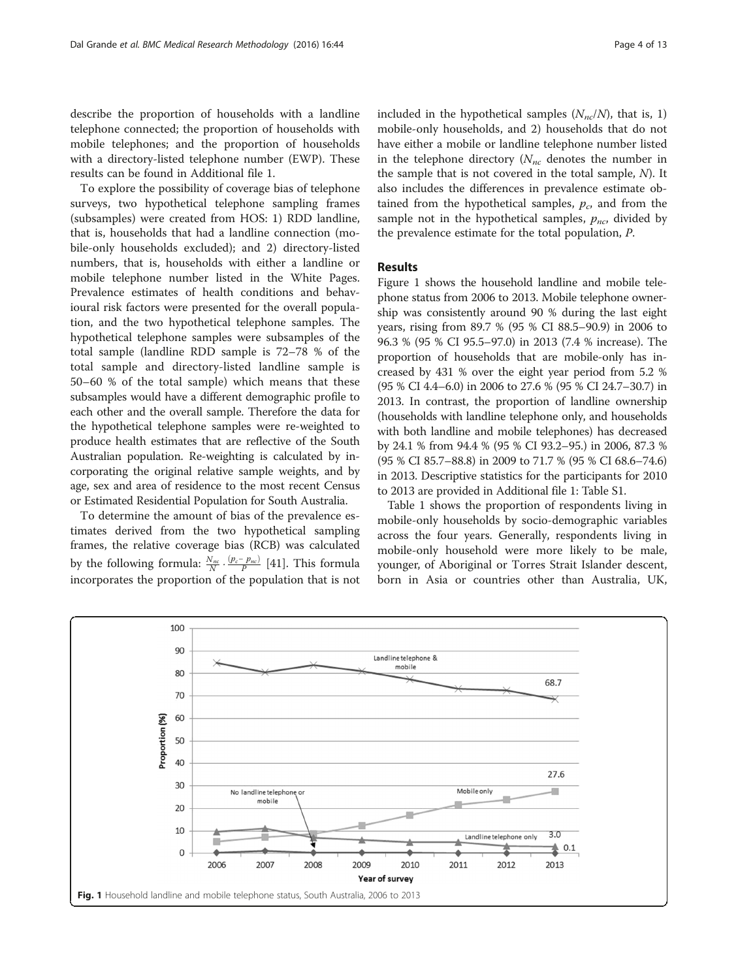describe the proportion of households with a landline telephone connected; the proportion of households with mobile telephones; and the proportion of households with a directory-listed telephone number (EWP). These results can be found in Additional file [1](#page-11-0).

To explore the possibility of coverage bias of telephone surveys, two hypothetical telephone sampling frames (subsamples) were created from HOS: 1) RDD landline, that is, households that had a landline connection (mobile-only households excluded); and 2) directory-listed numbers, that is, households with either a landline or mobile telephone number listed in the White Pages. Prevalence estimates of health conditions and behavioural risk factors were presented for the overall population, and the two hypothetical telephone samples. The hypothetical telephone samples were subsamples of the total sample (landline RDD sample is 72–78 % of the total sample and directory-listed landline sample is 50–60 % of the total sample) which means that these subsamples would have a different demographic profile to each other and the overall sample. Therefore the data for the hypothetical telephone samples were re-weighted to produce health estimates that are reflective of the South Australian population. Re-weighting is calculated by incorporating the original relative sample weights, and by age, sex and area of residence to the most recent Census or Estimated Residential Population for South Australia.

To determine the amount of bias of the prevalence estimates derived from the two hypothetical sampling frames, the relative coverage bias (RCB) was calculated by the following formula:  $\frac{N_{nc}}{N} \cdot \frac{(p_c - p_{nc})}{P}$  [[41\]](#page-12-0). This formula incorporates the proportion of the population that is not included in the hypothetical samples  $(N_{nc}/N)$ , that is, 1) mobile-only households, and 2) households that do not have either a mobile or landline telephone number listed in the telephone directory  $(N_{nc})$  denotes the number in the sample that is not covered in the total sample,  $N$ ). It also includes the differences in prevalence estimate obtained from the hypothetical samples,  $p_c$ , and from the sample not in the hypothetical samples,  $p_{nc}$ , divided by the prevalence estimate for the total population, P.

#### Results

Figure 1 shows the household landline and mobile telephone status from 2006 to 2013. Mobile telephone ownership was consistently around 90 % during the last eight years, rising from 89.7 % (95 % CI 88.5–90.9) in 2006 to 96.3 % (95 % CI 95.5–97.0) in 2013 (7.4 % increase). The proportion of households that are mobile-only has increased by 431 % over the eight year period from 5.2 % (95 % CI 4.4–6.0) in 2006 to 27.6 % (95 % CI 24.7–30.7) in 2013. In contrast, the proportion of landline ownership (households with landline telephone only, and households with both landline and mobile telephones) has decreased by 24.1 % from 94.4 % (95 % CI 93.2–95.) in 2006, 87.3 % (95 % CI 85.7–88.8) in 2009 to 71.7 % (95 % CI 68.6–74.6) in 2013. Descriptive statistics for the participants for 2010 to 2013 are provided in Additional file [1:](#page-11-0) Table S1.

Table [1](#page-4-0) shows the proportion of respondents living in mobile-only households by socio-demographic variables across the four years. Generally, respondents living in mobile-only household were more likely to be male, younger, of Aboriginal or Torres Strait Islander descent, born in Asia or countries other than Australia, UK,

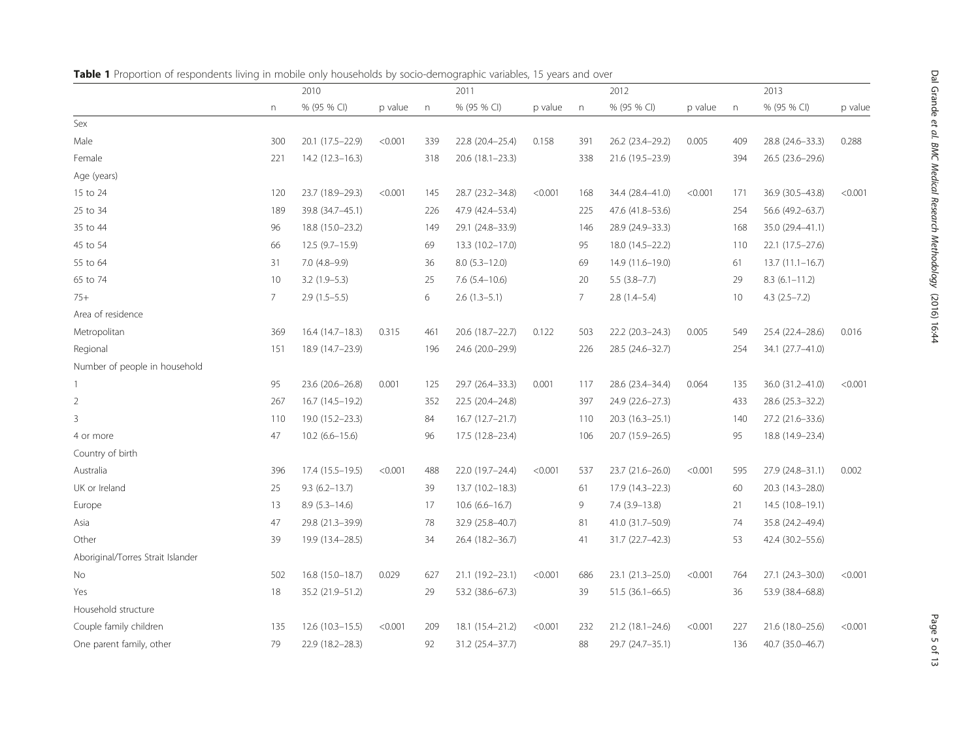|                                   |                |                     | 2011    |              |                     |         | 2012           |                   | 2013    |              |                     |         |
|-----------------------------------|----------------|---------------------|---------|--------------|---------------------|---------|----------------|-------------------|---------|--------------|---------------------|---------|
|                                   | n              | % (95 % CI)         | p value | $\mathsf{n}$ | % (95 % CI)         | p value | $\mathsf{n}$   | % (95 % CI)       | p value | $\mathsf{n}$ | % (95 % CI)         | p value |
| Sex                               |                |                     |         |              |                     |         |                |                   |         |              |                     |         |
| Male                              | 300            | 20.1 (17.5-22.9)    | < 0.001 | 339          | 22.8 (20.4-25.4)    | 0.158   | 391            | 26.2 (23.4-29.2)  | 0.005   | 409          | 28.8 (24.6-33.3)    | 0.288   |
| Female                            | 221            | 14.2 (12.3-16.3)    |         | 318          | $20.6(18.1-23.3)$   |         | 338            | 21.6 (19.5-23.9)  |         | 394          | 26.5 (23.6-29.6)    |         |
| Age (years)                       |                |                     |         |              |                     |         |                |                   |         |              |                     |         |
| 15 to 24                          | 120            | 23.7 (18.9-29.3)    | < 0.001 | 145          | 28.7 (23.2-34.8)    | < 0.001 | 168            | 34.4 (28.4-41.0)  | < 0.001 | 171          | 36.9 (30.5-43.8)    | < 0.001 |
| 25 to 34                          | 189            | 39.8 (34.7-45.1)    |         | 226          | 47.9 (42.4-53.4)    |         | 225            | 47.6 (41.8-53.6)  |         | 254          | 56.6 (49.2-63.7)    |         |
| 35 to 44                          | 96             | 18.8 (15.0-23.2)    |         | 149          | 29.1 (24.8-33.9)    |         | 146            | 28.9 (24.9-33.3)  |         | 168          | 35.0 (29.4-41.1)    |         |
| 45 to 54                          | 66             | $12.5(9.7-15.9)$    |         | 69           | 13.3 (10.2-17.0)    |         | 95             | 18.0 (14.5-22.2)  |         | 110          | 22.1 (17.5-27.6)    |         |
| 55 to 64                          | 31             | $7.0(4.8-9.9)$      |         | 36           | $8.0$ (5.3-12.0)    |         | 69             | 14.9 (11.6-19.0)  |         | 61           | $13.7(11.1 - 16.7)$ |         |
| 65 to 74                          | 10             | $3.2(1.9-5.3)$      |         | 25           | $7.6(5.4-10.6)$     |         | 20             | $5.5(3.8-7.7)$    |         | 29           | $8.3(6.1 - 11.2)$   |         |
| $75+$                             | $\overline{7}$ | $2.9(1.5-5.5)$      |         | 6            | $2.6(1.3-5.1)$      |         | $\overline{7}$ | $2.8(1.4-5.4)$    |         | 10           | $4.3$ $(2.5 - 7.2)$ |         |
| Area of residence                 |                |                     |         |              |                     |         |                |                   |         |              |                     |         |
| Metropolitan                      | 369            | $16.4(14.7-18.3)$   | 0.315   | 461          | 20.6 (18.7-22.7)    | 0.122   | 503            | 22.2 (20.3-24.3)  | 0.005   | 549          | 25.4 (22.4-28.6)    | 0.016   |
| Regional                          | 151            | 18.9 (14.7-23.9)    |         | 196          | 24.6 (20.0-29.9)    |         | 226            | 28.5 (24.6-32.7)  |         | 254          | 34.1 (27.7-41.0)    |         |
| Number of people in household     |                |                     |         |              |                     |         |                |                   |         |              |                     |         |
| 1                                 | 95             | 23.6 (20.6-26.8)    | 0.001   | 125          | 29.7 (26.4-33.3)    | 0.001   | 117            | 28.6 (23.4-34.4)  | 0.064   | 135          | 36.0 (31.2-41.0)    | < 0.001 |
| $\overline{2}$                    | 267            | 16.7 (14.5-19.2)    |         | 352          | 22.5 (20.4-24.8)    |         | 397            | 24.9 (22.6-27.3)  |         | 433          | 28.6 (25.3-32.2)    |         |
| 3                                 | 110            | 19.0 (15.2-23.3)    |         | 84           | $16.7(12.7 - 21.7)$ |         | 110            | $20.3(16.3-25.1)$ |         | 140          | 27.2 (21.6-33.6)    |         |
| 4 or more                         | 47             | $10.2(6.6 - 15.6)$  |         | 96           | 17.5 (12.8-23.4)    |         | 106            | 20.7 (15.9-26.5)  |         | 95           | 18.8 (14.9-23.4)    |         |
| Country of birth                  |                |                     |         |              |                     |         |                |                   |         |              |                     |         |
| Australia                         | 396            | 17.4 (15.5-19.5)    | < 0.001 | 488          | 22.0 (19.7-24.4)    | < 0.001 | 537            | 23.7 (21.6-26.0)  | < 0.001 | 595          | 27.9 (24.8-31.1)    | 0.002   |
| UK or Ireland                     | 25             | $9.3(6.2 - 13.7)$   |         | 39           | $13.7(10.2 - 18.3)$ |         | 61             | 17.9 (14.3-22.3)  |         | 60           | 20.3 (14.3-28.0)    |         |
| Europe                            | 13             | $8.9(5.3 - 14.6)$   |         | 17           | $10.6(6.6 - 16.7)$  |         | 9              | 7.4 (3.9-13.8)    |         | 21           | 14.5 (10.8-19.1)    |         |
| Asia                              | 47             | 29.8 (21.3-39.9)    |         | 78           | 32.9 (25.8-40.7)    |         | 81             | 41.0 (31.7-50.9)  |         | 74           | 35.8 (24.2-49.4)    |         |
| Other                             | 39             | 19.9 (13.4-28.5)    |         | 34           | 26.4 (18.2-36.7)    |         | 41             | 31.7 (22.7-42.3)  |         | 53           | 42.4 (30.2-55.6)    |         |
| Aboriginal/Torres Strait Islander |                |                     |         |              |                     |         |                |                   |         |              |                     |         |
| No                                | 502            | 16.8 (15.0-18.7)    | 0.029   | 627          | 21.1 (19.2-23.1)    | < 0.001 | 686            | 23.1 (21.3-25.0)  | < 0.001 | 764          | 27.1 (24.3-30.0)    | < 0.001 |
| Yes                               | 18             | 35.2 (21.9-51.2)    |         | 29           | 53.2 (38.6-67.3)    |         | 39             | 51.5 (36.1-66.5)  |         | 36           | 53.9 (38.4-68.8)    |         |
| Household structure               |                |                     |         |              |                     |         |                |                   |         |              |                     |         |
| Couple family children            | 135            | $12.6(10.3 - 15.5)$ | < 0.001 | 209          | 18.1 (15.4-21.2)    | < 0.001 | 232            | 21.2 (18.1-24.6)  | < 0.001 | 227          | 21.6 (18.0-25.6)    | < 0.001 |
| One parent family, other          | 79             | 22.9 (18.2-28.3)    |         | 92           | 31.2 (25.4-37.7)    |         | 88             | 29.7 (24.7-35.1)  |         | 136          | 40.7 (35.0-46.7)    |         |
|                                   |                |                     |         |              |                     |         |                |                   |         |              |                     |         |

<span id="page-4-0"></span>Table 1 Proportion of respondents living in mobile only households by socio-demographic variables, 15 years and over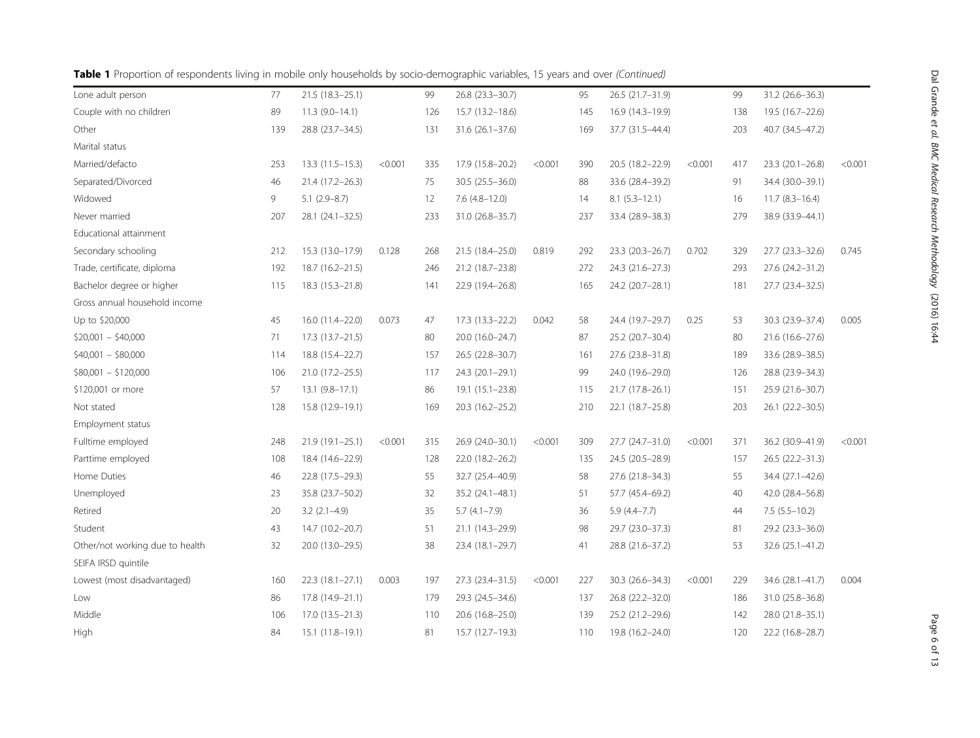|  | Table 1 Proportion of respondents living in mobile only households by socio-demographic variables, 15 years and over (Continued) |  |  |  |  |  |  |  |  |  |  |  |
|--|----------------------------------------------------------------------------------------------------------------------------------|--|--|--|--|--|--|--|--|--|--|--|
|--|----------------------------------------------------------------------------------------------------------------------------------|--|--|--|--|--|--|--|--|--|--|--|

| Lone adult person               | 77  | 21.5 (18.3-25.1)    |         | 99  | 26.8 (23.3-30.7)     |         | 95  | 26.5 (21.7-31.9)   |         | 99  | 31.2 (26.6-36.3)    |         |
|---------------------------------|-----|---------------------|---------|-----|----------------------|---------|-----|--------------------|---------|-----|---------------------|---------|
| Couple with no children         | 89  | $11.3(9.0-14.1)$    |         | 126 | 15.7 (13.2-18.6)     |         | 145 | 16.9 (14.3-19.9)   |         | 138 | 19.5 (16.7-22.6)    |         |
| Other                           | 139 | 28.8 (23.7-34.5)    |         | 131 | $31.6(26.1 - 37.6)$  |         | 169 | 37.7 (31.5-44.4)   |         | 203 | 40.7 (34.5-47.2)    |         |
| Marital status                  |     |                     |         |     |                      |         |     |                    |         |     |                     |         |
| Married/defacto                 | 253 | $13.3(11.5 - 15.3)$ | < 0.001 | 335 | 17.9 (15.8-20.2)     | < 0.001 | 390 | 20.5 (18.2-22.9)   | < 0.001 | 417 | $23.3(20.1 - 26.8)$ | < 0.001 |
| Separated/Divorced              | 46  | 21.4 (17.2-26.3)    |         | 75  | $30.5(25.5 - 36.0)$  |         | 88  | 33.6 (28.4-39.2)   |         | 91  | 34.4 (30.0-39.1)    |         |
| Widowed                         | 9   | $5.1(2.9 - 8.7)$    |         | 12  | $7.6$ $(4.8 - 12.0)$ |         | 14  | $8.1(5.3-12.1)$    |         | 16  | $11.7(8.3 - 16.4)$  |         |
| Never married                   | 207 | 28.1 (24.1-32.5)    |         | 233 | 31.0 (26.8-35.7)     |         | 237 | 33.4 (28.9 - 38.3) |         | 279 | 38.9 (33.9-44.1)    |         |
| Educational attainment          |     |                     |         |     |                      |         |     |                    |         |     |                     |         |
| Secondary schooling             | 212 | 15.3 (13.0-17.9)    | 0.128   | 268 | 21.5 (18.4-25.0)     | 0.819   | 292 | 23.3 (20.3-26.7)   | 0.702   | 329 | 27.7 (23.3-32.6)    | 0.745   |
| Trade, certificate, diploma     | 192 | 18.7 (16.2-21.5)    |         | 246 | 21.2 (18.7-23.8)     |         | 272 | 24.3 (21.6-27.3)   |         | 293 | 27.6 (24.2-31.2)    |         |
| Bachelor degree or higher       | 115 | 18.3 (15.3-21.8)    |         | 141 | 22.9 (19.4-26.8)     |         | 165 | 24.2 (20.7-28.1)   |         | 181 | 27.7 (23.4-32.5)    |         |
| Gross annual household income   |     |                     |         |     |                      |         |     |                    |         |     |                     |         |
| Up to \$20,000                  | 45  | 16.0 (11.4-22.0)    | 0.073   | 47  | 17.3 (13.3-22.2)     | 0.042   | 58  | 24.4 (19.7-29.7)   | 0.25    | 53  | 30.3 (23.9-37.4)    | 0.005   |
| $$20,001 - $40,000$             | 71  | $17.3(13.7 - 21.5)$ |         | 80  | 20.0 (16.0-24.7)     |         | 87  | 25.2 (20.7-30.4)   |         | 80  | 21.6 (16.6-27.6)    |         |
| $$40,001 - $80,000$             | 114 | 18.8 (15.4-22.7)    |         | 157 | 26.5 (22.8-30.7)     |         | 161 | 27.6 (23.8-31.8)   |         | 189 | 33.6 (28.9-38.5)    |         |
| $$80,001 - $120,000$            | 106 | 21.0 (17.2-25.5)    |         | 117 | 24.3 (20.1-29.1)     |         | 99  | 24.0 (19.6-29.0)   |         | 126 | 28.8 (23.9-34.3)    |         |
| \$120,001 or more               | 57  | $13.1 (9.8 - 17.1)$ |         | 86  | 19.1 (15.1-23.8)     |         | 115 | 21.7 (17.8-26.1)   |         | 151 | 25.9 (21.6-30.7)    |         |
| Not stated                      | 128 | 15.8 (12.9-19.1)    |         | 169 | 20.3 (16.2-25.2)     |         | 210 | 22.1 (18.7-25.8)   |         | 203 | 26.1 (22.2-30.5)    |         |
| Employment status               |     |                     |         |     |                      |         |     |                    |         |     |                     |         |
| Fulltime employed               | 248 | $21.9(19.1-25.1)$   | < 0.001 | 315 | 26.9 (24.0-30.1)     | < 0.001 | 309 | 27.7 (24.7-31.0)   | < 0.001 | 371 | 36.2 (30.9-41.9)    | < 0.001 |
| Parttime employed               | 108 | 18.4 (14.6-22.9)    |         | 128 | 22.0 (18.2-26.2)     |         | 135 | 24.5 (20.5-28.9)   |         | 157 | 26.5 (22.2-31.3)    |         |
| Home Duties                     | 46  | 22.8 (17.5-29.3)    |         | 55  | 32.7 (25.4-40.9)     |         | 58  | 27.6 (21.8-34.3)   |         | 55  | 34.4 (27.1-42.6)    |         |
| Unemployed                      | 23  | 35.8 (23.7-50.2)    |         | 32  | 35.2 (24.1-48.1)     |         | 51  | 57.7 (45.4-69.2)   |         | 40  | 42.0 (28.4-56.8)    |         |
| Retired                         | 20  | $3.2$ $(2.1 - 4.9)$ |         | 35  | $5.7(4.1 - 7.9)$     |         | 36  | $5.9(4.4 - 7.7)$   |         | 44  | $7.5(5.5-10.2)$     |         |
| Student                         | 43  | 14.7 (10.2-20.7)    |         | 51  | 21.1 (14.3-29.9)     |         | 98  | 29.7 (23.0-37.3)   |         | 81  | 29.2 (23.3-36.0)    |         |
| Other/not working due to health | 32  | 20.0 (13.0-29.5)    |         | 38  | 23.4 (18.1-29.7)     |         | 41  | 28.8 (21.6-37.2)   |         | 53  | 32.6 (25.1-41.2)    |         |
| SEIFA IRSD quintile             |     |                     |         |     |                      |         |     |                    |         |     |                     |         |
| Lowest (most disadvantaged)     | 160 | $22.3(18.1-27.1)$   | 0.003   | 197 | 27.3 (23.4-31.5)     | < 0.001 | 227 | 30.3 (26.6-34.3)   | < 0.001 | 229 | 34.6 (28.1-41.7)    | 0.004   |
| Low                             | 86  | 17.8 (14.9-21.1)    |         | 179 | 29.3 (24.5-34.6)     |         | 137 | 26.8 (22.2-32.0)   |         | 186 | 31.0 (25.8-36.8)    |         |
| Middle                          | 106 | 17.0 (13.5-21.3)    |         | 110 | 20.6 (16.8-25.0)     |         | 139 | 25.2 (21.2-29.6)   |         | 142 | 28.0 (21.8-35.1)    |         |
| High                            | 84  | 15.1 (11.8-19.1)    |         | 81  | 15.7 (12.7-19.3)     |         | 110 | 19.8 (16.2-24.0)   |         | 120 | 22.2 (16.8-28.7)    |         |
|                                 |     |                     |         |     |                      |         |     |                    |         |     |                     |         |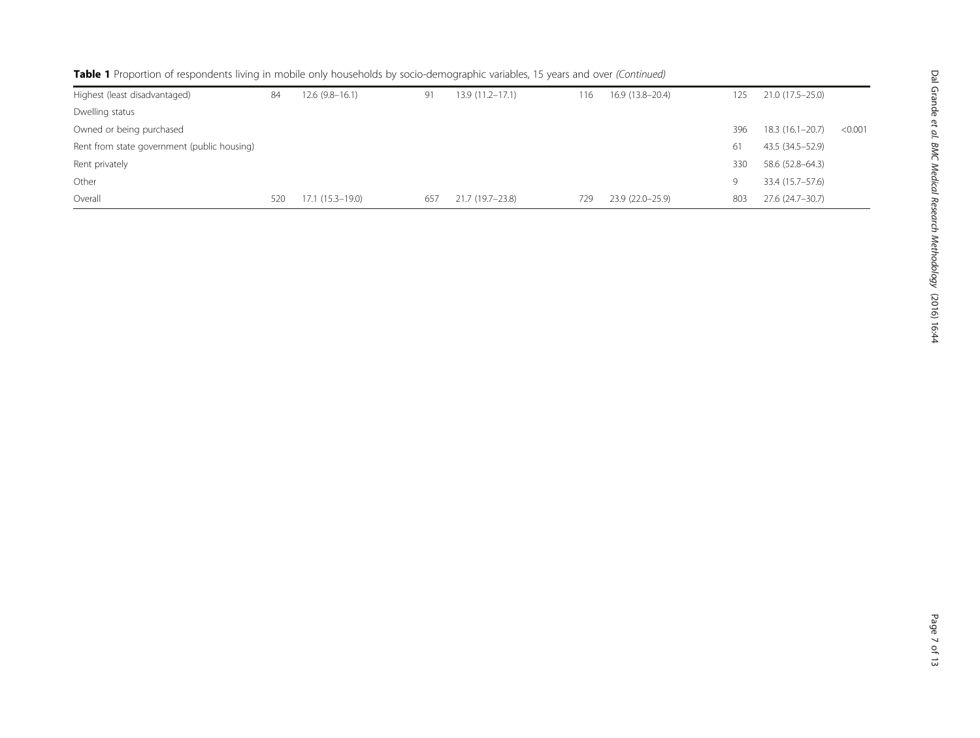| Highest (least disadvantaged)               | 84  | $12.6(9.8-16.1)$  | 91  | $13.9(11.2 - 17.1)$ | 116 | 16.9 (13.8-20.4) | 125 | 21.0 (17.5-25.0)    |         |
|---------------------------------------------|-----|-------------------|-----|---------------------|-----|------------------|-----|---------------------|---------|
| Dwelling status                             |     |                   |     |                     |     |                  |     |                     |         |
| Owned or being purchased                    |     |                   |     |                     |     |                  | 396 | $18.3(16.1 - 20.7)$ | < 0.001 |
| Rent from state government (public housing) |     |                   |     |                     |     |                  | 61  | 43.5 (34.5–52.9)    |         |
| Rent privately                              |     |                   |     |                     |     |                  | 330 | 58.6 (52.8-64.3)    |         |
| Other                                       |     |                   |     |                     |     |                  | 9   | 33.4 (15.7–57.6)    |         |
| Overall                                     | 520 | $17.1(15.3-19.0)$ | 657 | 21.7 (19.7–23.8)    | 729 | 23.9 (22.0-25.9) | 803 | 27.6 (24.7-30.7)    |         |

|  | Table 1 Proportion of respondents living in mobile only households by socio-demographic variables, 15 years and over <i>(Continued)</i> |  |  |  |  |  |  |  |  |  |  |  |
|--|-----------------------------------------------------------------------------------------------------------------------------------------|--|--|--|--|--|--|--|--|--|--|--|
|--|-----------------------------------------------------------------------------------------------------------------------------------------|--|--|--|--|--|--|--|--|--|--|--|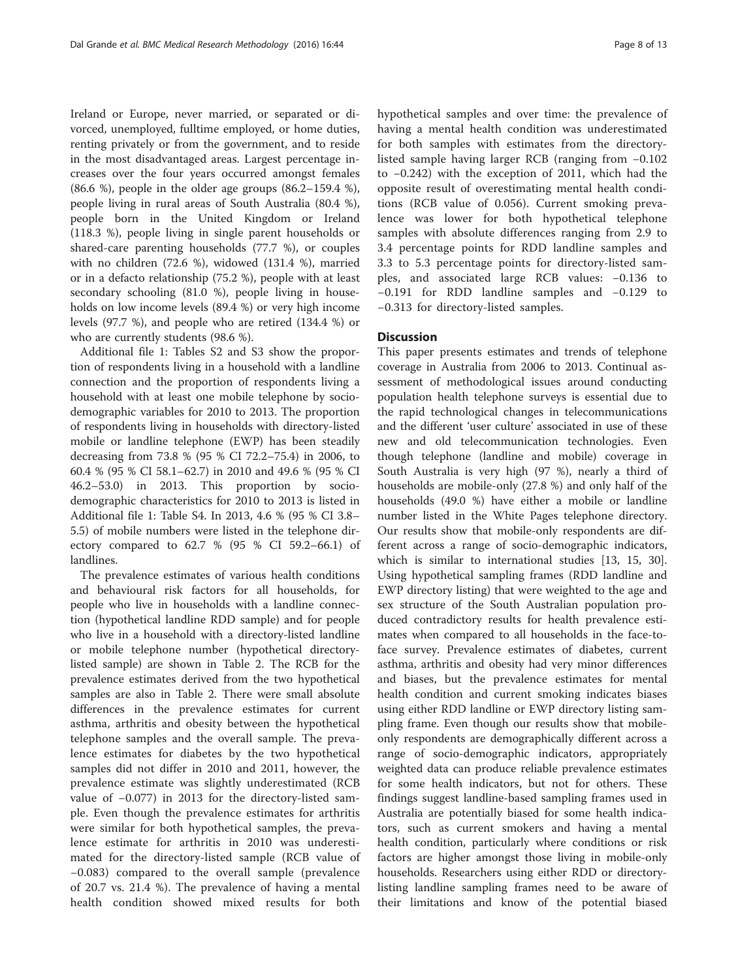Ireland or Europe, never married, or separated or divorced, unemployed, fulltime employed, or home duties, renting privately or from the government, and to reside in the most disadvantaged areas. Largest percentage increases over the four years occurred amongst females (86.6 %), people in the older age groups (86.2–159.4 %), people living in rural areas of South Australia (80.4 %), people born in the United Kingdom or Ireland (118.3 %), people living in single parent households or shared-care parenting households (77.7 %), or couples with no children (72.6 %), widowed (131.4 %), married or in a defacto relationship (75.2 %), people with at least secondary schooling (81.0 %), people living in households on low income levels (89.4 %) or very high income levels (97.7 %), and people who are retired (134.4 %) or who are currently students (98.6 %).

Additional file [1](#page-11-0): Tables S2 and S3 show the proportion of respondents living in a household with a landline connection and the proportion of respondents living a household with at least one mobile telephone by sociodemographic variables for 2010 to 2013. The proportion of respondents living in households with directory-listed mobile or landline telephone (EWP) has been steadily decreasing from 73.8 % (95 % CI 72.2–75.4) in 2006, to 60.4 % (95 % CI 58.1–62.7) in 2010 and 49.6 % (95 % CI 46.2–53.0) in 2013. This proportion by sociodemographic characteristics for 2010 to 2013 is listed in Additional file [1:](#page-11-0) Table S4. In 2013, 4.6 % (95 % CI 3.8– 5.5) of mobile numbers were listed in the telephone directory compared to 62.7 % (95 % CI 59.2–66.1) of landlines.

The prevalence estimates of various health conditions and behavioural risk factors for all households, for people who live in households with a landline connection (hypothetical landline RDD sample) and for people who live in a household with a directory-listed landline or mobile telephone number (hypothetical directorylisted sample) are shown in Table [2](#page-8-0). The RCB for the prevalence estimates derived from the two hypothetical samples are also in Table [2.](#page-8-0) There were small absolute differences in the prevalence estimates for current asthma, arthritis and obesity between the hypothetical telephone samples and the overall sample. The prevalence estimates for diabetes by the two hypothetical samples did not differ in 2010 and 2011, however, the prevalence estimate was slightly underestimated (RCB value of −0.077) in 2013 for the directory-listed sample. Even though the prevalence estimates for arthritis were similar for both hypothetical samples, the prevalence estimate for arthritis in 2010 was underestimated for the directory-listed sample (RCB value of −0.083) compared to the overall sample (prevalence of 20.7 vs. 21.4 %). The prevalence of having a mental health condition showed mixed results for both hypothetical samples and over time: the prevalence of having a mental health condition was underestimated for both samples with estimates from the directorylisted sample having larger RCB (ranging from −0.102 to −0.242) with the exception of 2011, which had the opposite result of overestimating mental health conditions (RCB value of 0.056). Current smoking prevalence was lower for both hypothetical telephone samples with absolute differences ranging from 2.9 to 3.4 percentage points for RDD landline samples and 3.3 to 5.3 percentage points for directory-listed samples, and associated large RCB values: −0.136 to −0.191 for RDD landline samples and −0.129 to −0.313 for directory-listed samples.

#### **Discussion**

This paper presents estimates and trends of telephone coverage in Australia from 2006 to 2013. Continual assessment of methodological issues around conducting population health telephone surveys is essential due to the rapid technological changes in telecommunications and the different 'user culture' associated in use of these new and old telecommunication technologies. Even though telephone (landline and mobile) coverage in South Australia is very high (97 %), nearly a third of households are mobile-only (27.8 %) and only half of the households (49.0 %) have either a mobile or landline number listed in the White Pages telephone directory. Our results show that mobile-only respondents are different across a range of socio-demographic indicators, which is similar to international studies [\[13](#page-11-0), [15,](#page-11-0) [30](#page-12-0)]. Using hypothetical sampling frames (RDD landline and EWP directory listing) that were weighted to the age and sex structure of the South Australian population produced contradictory results for health prevalence estimates when compared to all households in the face-toface survey. Prevalence estimates of diabetes, current asthma, arthritis and obesity had very minor differences and biases, but the prevalence estimates for mental health condition and current smoking indicates biases using either RDD landline or EWP directory listing sampling frame. Even though our results show that mobileonly respondents are demographically different across a range of socio-demographic indicators, appropriately weighted data can produce reliable prevalence estimates for some health indicators, but not for others. These findings suggest landline-based sampling frames used in Australia are potentially biased for some health indicators, such as current smokers and having a mental health condition, particularly where conditions or risk factors are higher amongst those living in mobile-only households. Researchers using either RDD or directorylisting landline sampling frames need to be aware of their limitations and know of the potential biased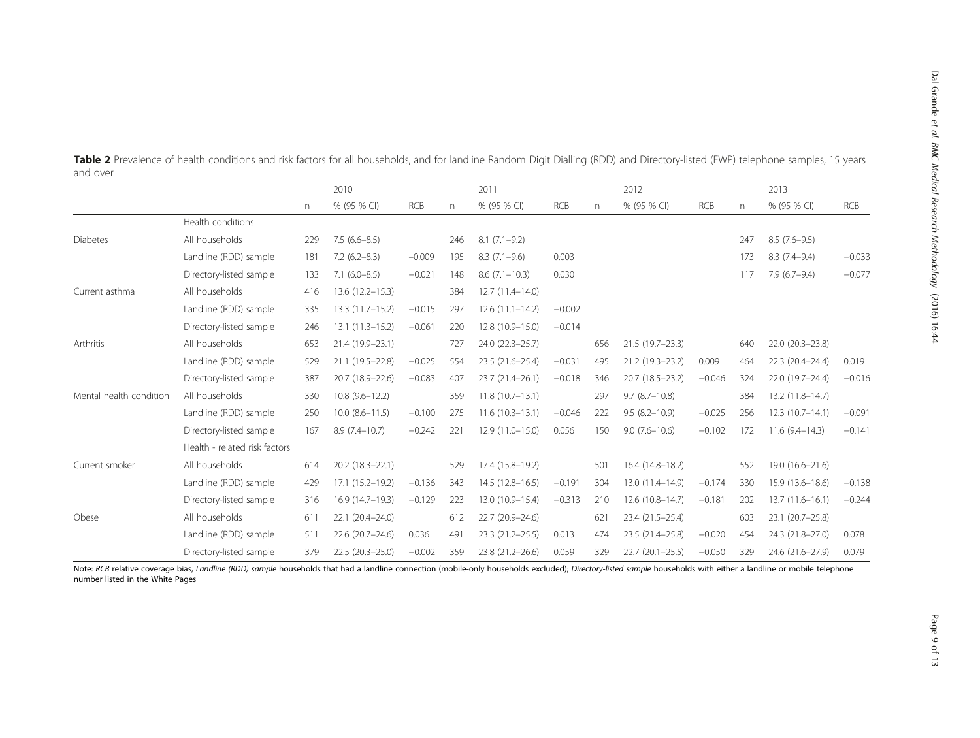| and Over                |                               |     | 2010                |            |     | 2011                |            |     | 2012              |            |          | 2013                |            |
|-------------------------|-------------------------------|-----|---------------------|------------|-----|---------------------|------------|-----|-------------------|------------|----------|---------------------|------------|
|                         |                               | n   | % (95 % CI)         | <b>RCB</b> | n   | % (95 % CI)         | <b>RCB</b> | n.  | % (95 % CI)       | <b>RCB</b> | $\Gamma$ | % (95 % CI)         | <b>RCB</b> |
|                         | Health conditions             |     |                     |            |     |                     |            |     |                   |            |          |                     |            |
| <b>Diabetes</b>         | All households                | 229 | $7.5(6.6-8.5)$      |            | 246 | $8.1(7.1-9.2)$      |            |     |                   |            | 247      | $8.5(7.6-9.5)$      |            |
|                         | Landline (RDD) sample         | 181 | $7.2(6.2 - 8.3)$    | $-0.009$   | 195 | $8.3(7.1-9.6)$      | 0.003      |     |                   |            | 173      | $8.3(7.4-9.4)$      | $-0.033$   |
|                         | Directory-listed sample       | 133 | $7.1(6.0-8.5)$      | $-0.021$   | 148 | $8.6(7.1-10.3)$     | 0.030      |     |                   |            | 117      | $7.9(6.7-9.4)$      | $-0.077$   |
| Current asthma          | All households                | 416 | $13.6(12.2 - 15.3)$ |            | 384 | $12.7(11.4 - 14.0)$ |            |     |                   |            |          |                     |            |
|                         | Landline (RDD) sample         | 335 | $13.3(11.7-15.2)$   | $-0.015$   | 297 | $12.6(11.1-14.2)$   | $-0.002$   |     |                   |            |          |                     |            |
|                         | Directory-listed sample       | 246 | $13.1(11.3 - 15.2)$ | $-0.061$   | 220 | 12.8 (10.9-15.0)    | $-0.014$   |     |                   |            |          |                     |            |
| Arthritis               | All households                | 653 | 21.4 (19.9-23.1)    |            | 727 | 24.0 (22.3-25.7)    |            | 656 | 21.5 (19.7-23.3)  |            | 640      | 22.0 (20.3-23.8)    |            |
|                         | Landline (RDD) sample         | 529 | 21.1 (19.5-22.8)    | $-0.025$   | 554 | 23.5 (21.6-25.4)    | $-0.031$   | 495 | 21.2 (19.3-23.2)  | 0.009      | 464      | 22.3 (20.4-24.4)    | 0.019      |
|                         | Directory-listed sample       | 387 | 20.7 (18.9-22.6)    | $-0.083$   | 407 | 23.7 (21.4-26.1)    | $-0.018$   | 346 | 20.7 (18.5-23.2)  | $-0.046$   | 324      | 22.0 (19.7-24.4)    | $-0.016$   |
| Mental health condition | All households                | 330 | $10.8(9.6 - 12.2)$  |            | 359 | $11.8(10.7-13.1)$   |            | 297 | $9.7(8.7-10.8)$   |            | 384      | 13.2 (11.8-14.7)    |            |
|                         | Landline (RDD) sample         | 250 | $10.0 (8.6 - 11.5)$ | $-0.100$   | 275 | $11.6(10.3-13.1)$   | $-0.046$   | 222 | $9.5(8.2 - 10.9)$ | $-0.025$   | 256      | $12.3(10.7-14.1)$   | $-0.091$   |
|                         | Directory-listed sample       | 167 | $8.9(7.4-10.7)$     | $-0.242$   | 221 | 12.9 (11.0-15.0)    | 0.056      | 150 | $9.0(7.6 - 10.6)$ | $-0.102$   | 172      | $11.6(9.4 - 14.3)$  | $-0.141$   |
|                         | Health - related risk factors |     |                     |            |     |                     |            |     |                   |            |          |                     |            |
| Current smoker          | All households                | 614 | $20.2(18.3 - 22.1)$ |            | 529 | 17.4 (15.8-19.2)    |            | 501 | 16.4 (14.8-18.2)  |            | 552      | 19.0 (16.6-21.6)    |            |
|                         | Landline (RDD) sample         | 429 | $17.1(15.2 - 19.2)$ | $-0.136$   | 343 | $14.5(12.8-16.5)$   | $-0.191$   | 304 | 13.0 (11.4-14.9)  | $-0.174$   | 330      | 15.9 (13.6-18.6)    | $-0.138$   |
|                         | Directory-listed sample       | 316 | 16.9 (14.7-19.3)    | $-0.129$   | 223 | 13.0 (10.9-15.4)    | $-0.313$   | 210 | 12.6 (10.8-14.7)  | $-0.181$   | 202      | $13.7(11.6 - 16.1)$ | $-0.244$   |
| Obese                   | All households                | 611 | 22.1 (20.4-24.0)    |            | 612 | 22.7 (20.9-24.6)    |            | 621 | 23.4 (21.5-25.4)  |            | 603      | 23.1 (20.7-25.8)    |            |
|                         | Landline (RDD) sample         | 511 | 22.6 (20.7-24.6)    | 0.036      | 491 | 23.3 (21.2-25.5)    | 0.013      | 474 | 23.5 (21.4-25.8)  | $-0.020$   | 454      | 24.3 (21.8-27.0)    | 0.078      |
|                         | Directory-listed sample       | 379 | $22.5(20.3-25.0)$   | $-0.002$   | 359 | 23.8 (21.2-26.6)    | 0.059      | 329 | $22.7(20.1-25.5)$ | $-0.050$   | 329      | 24.6 (21.6-27.9)    | 0.079      |

<span id="page-8-0"></span>Table 2 Prevalence of health conditions and risk factors for all households, and for landline Random Digit Dialling (RDD) and Directory-listed (EWP) telephone samples, 15 years and over

Note: RCB relative coverage bias, Landline (RDD) sample households that had a landline connection (mobile-only households excluded); Directory-listed sample households with either a landline or mobile telephone number listed in the White Pages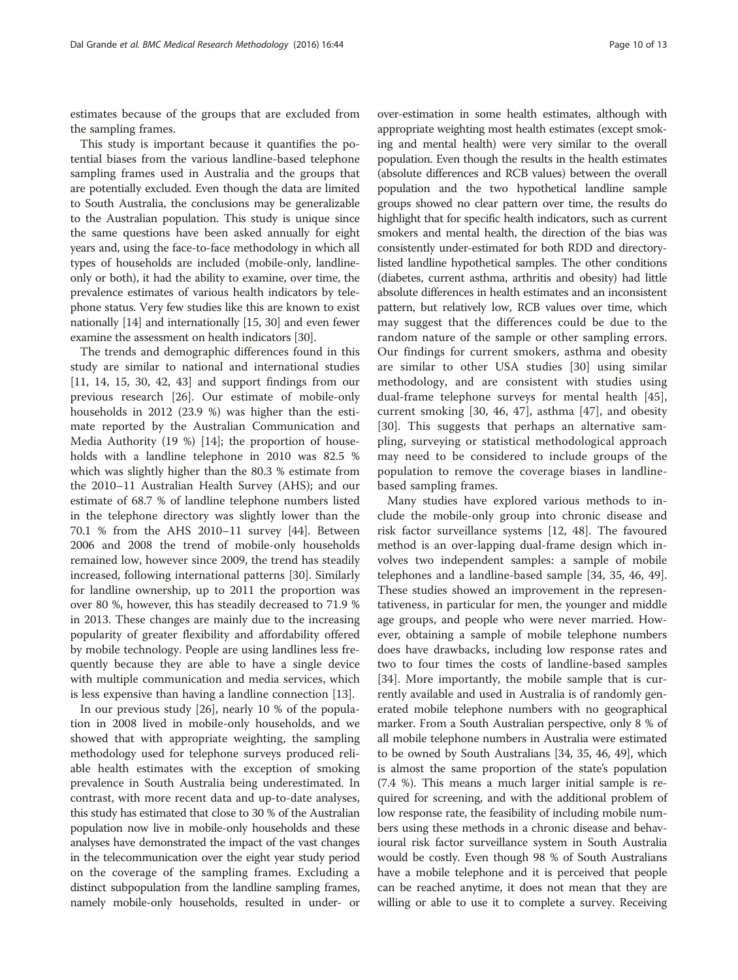estimates because of the groups that are excluded from the sampling frames.

This study is important because it quantifies the potential biases from the various landline-based telephone sampling frames used in Australia and the groups that are potentially excluded. Even though the data are limited to South Australia, the conclusions may be generalizable to the Australian population. This study is unique since the same questions have been asked annually for eight years and, using the face-to-face methodology in which all types of households are included (mobile-only, landlineonly or both), it had the ability to examine, over time, the prevalence estimates of various health indicators by telephone status. Very few studies like this are known to exist nationally [[14](#page-11-0)] and internationally [\[15,](#page-11-0) [30](#page-12-0)] and even fewer examine the assessment on health indicators [\[30](#page-12-0)].

The trends and demographic differences found in this study are similar to national and international studies [[11, 14](#page-11-0), [15,](#page-11-0) [30](#page-12-0), [42](#page-12-0), [43\]](#page-12-0) and support findings from our previous research [[26](#page-11-0)]. Our estimate of mobile-only households in 2012 (23.9 %) was higher than the estimate reported by the Australian Communication and Media Authority (19 %) [\[14](#page-11-0)]; the proportion of households with a landline telephone in 2010 was 82.5 % which was slightly higher than the 80.3 % estimate from the 2010–11 Australian Health Survey (AHS); and our estimate of 68.7 % of landline telephone numbers listed in the telephone directory was slightly lower than the 70.1 % from the AHS 2010–11 survey [[44](#page-12-0)]. Between 2006 and 2008 the trend of mobile-only households remained low, however since 2009, the trend has steadily increased, following international patterns [\[30](#page-12-0)]. Similarly for landline ownership, up to 2011 the proportion was over 80 %, however, this has steadily decreased to 71.9 % in 2013. These changes are mainly due to the increasing popularity of greater flexibility and affordability offered by mobile technology. People are using landlines less frequently because they are able to have a single device with multiple communication and media services, which is less expensive than having a landline connection [\[13](#page-11-0)].

In our previous study [\[26\]](#page-11-0), nearly 10 % of the population in 2008 lived in mobile-only households, and we showed that with appropriate weighting, the sampling methodology used for telephone surveys produced reliable health estimates with the exception of smoking prevalence in South Australia being underestimated. In contrast, with more recent data and up-to-date analyses, this study has estimated that close to 30 % of the Australian population now live in mobile-only households and these analyses have demonstrated the impact of the vast changes in the telecommunication over the eight year study period on the coverage of the sampling frames. Excluding a distinct subpopulation from the landline sampling frames, namely mobile-only households, resulted in under- or

over-estimation in some health estimates, although with appropriate weighting most health estimates (except smoking and mental health) were very similar to the overall population. Even though the results in the health estimates (absolute differences and RCB values) between the overall population and the two hypothetical landline sample groups showed no clear pattern over time, the results do highlight that for specific health indicators, such as current smokers and mental health, the direction of the bias was consistently under-estimated for both RDD and directorylisted landline hypothetical samples. The other conditions (diabetes, current asthma, arthritis and obesity) had little absolute differences in health estimates and an inconsistent pattern, but relatively low, RCB values over time, which may suggest that the differences could be due to the

random nature of the sample or other sampling errors. Our findings for current smokers, asthma and obesity are similar to other USA studies [\[30](#page-12-0)] using similar methodology, and are consistent with studies using dual-frame telephone surveys for mental health [\[45](#page-12-0)], current smoking [[30, 46](#page-12-0), [47](#page-12-0)], asthma [[47\]](#page-12-0), and obesity [[30\]](#page-12-0). This suggests that perhaps an alternative sampling, surveying or statistical methodological approach may need to be considered to include groups of the population to remove the coverage biases in landlinebased sampling frames.

Many studies have explored various methods to include the mobile-only group into chronic disease and risk factor surveillance systems [\[12](#page-11-0), [48](#page-12-0)]. The favoured method is an over-lapping dual-frame design which involves two independent samples: a sample of mobile telephones and a landline-based sample [[34, 35](#page-12-0), [46, 49](#page-12-0)]. These studies showed an improvement in the representativeness, in particular for men, the younger and middle age groups, and people who were never married. However, obtaining a sample of mobile telephone numbers does have drawbacks, including low response rates and two to four times the costs of landline-based samples [[34\]](#page-12-0). More importantly, the mobile sample that is currently available and used in Australia is of randomly generated mobile telephone numbers with no geographical marker. From a South Australian perspective, only 8 % of all mobile telephone numbers in Australia were estimated to be owned by South Australians [[34](#page-12-0), [35](#page-12-0), [46, 49\]](#page-12-0), which is almost the same proportion of the state's population (7.4 %). This means a much larger initial sample is required for screening, and with the additional problem of low response rate, the feasibility of including mobile numbers using these methods in a chronic disease and behavioural risk factor surveillance system in South Australia would be costly. Even though 98 % of South Australians have a mobile telephone and it is perceived that people can be reached anytime, it does not mean that they are willing or able to use it to complete a survey. Receiving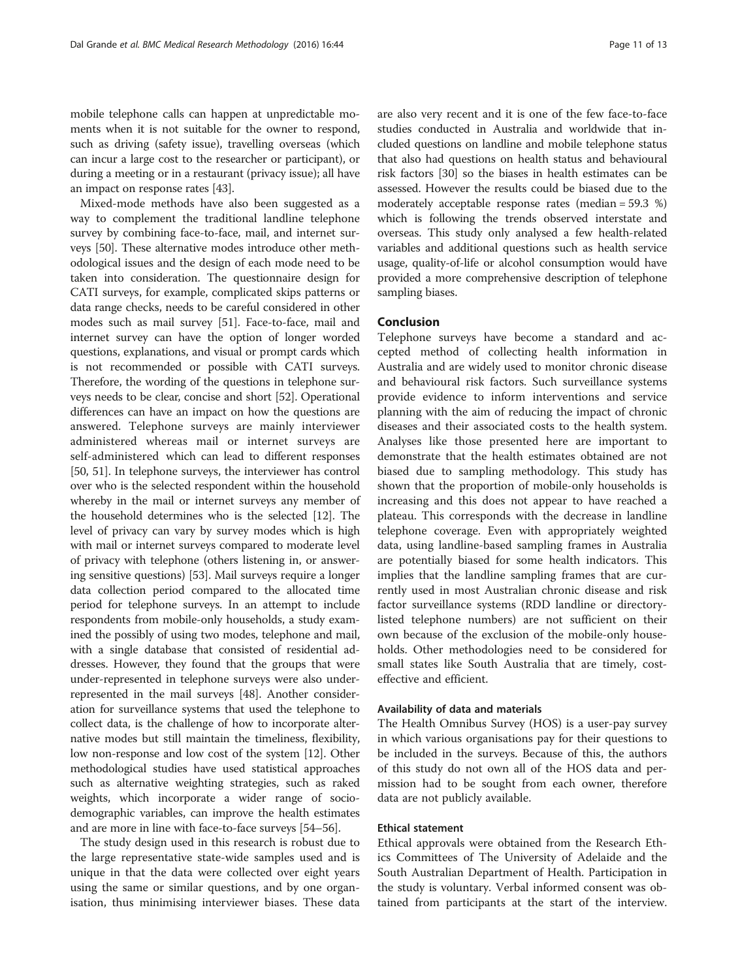mobile telephone calls can happen at unpredictable moments when it is not suitable for the owner to respond, such as driving (safety issue), travelling overseas (which can incur a large cost to the researcher or participant), or during a meeting or in a restaurant (privacy issue); all have an impact on response rates [\[43](#page-12-0)].

Mixed-mode methods have also been suggested as a way to complement the traditional landline telephone survey by combining face-to-face, mail, and internet surveys [[50](#page-12-0)]. These alternative modes introduce other methodological issues and the design of each mode need to be taken into consideration. The questionnaire design for CATI surveys, for example, complicated skips patterns or data range checks, needs to be careful considered in other modes such as mail survey [\[51\]](#page-12-0). Face-to-face, mail and internet survey can have the option of longer worded questions, explanations, and visual or prompt cards which is not recommended or possible with CATI surveys. Therefore, the wording of the questions in telephone surveys needs to be clear, concise and short [\[52\]](#page-12-0). Operational differences can have an impact on how the questions are answered. Telephone surveys are mainly interviewer administered whereas mail or internet surveys are self-administered which can lead to different responses [[50](#page-12-0), [51](#page-12-0)]. In telephone surveys, the interviewer has control over who is the selected respondent within the household whereby in the mail or internet surveys any member of the household determines who is the selected [[12](#page-11-0)]. The level of privacy can vary by survey modes which is high with mail or internet surveys compared to moderate level of privacy with telephone (others listening in, or answering sensitive questions) [\[53](#page-12-0)]. Mail surveys require a longer data collection period compared to the allocated time period for telephone surveys. In an attempt to include respondents from mobile-only households, a study examined the possibly of using two modes, telephone and mail, with a single database that consisted of residential addresses. However, they found that the groups that were under-represented in telephone surveys were also underrepresented in the mail surveys [\[48\]](#page-12-0). Another consideration for surveillance systems that used the telephone to collect data, is the challenge of how to incorporate alternative modes but still maintain the timeliness, flexibility, low non-response and low cost of the system [\[12](#page-11-0)]. Other methodological studies have used statistical approaches such as alternative weighting strategies, such as raked weights, which incorporate a wider range of sociodemographic variables, can improve the health estimates and are more in line with face-to-face surveys [[54](#page-12-0)–[56\]](#page-12-0).

The study design used in this research is robust due to the large representative state-wide samples used and is unique in that the data were collected over eight years using the same or similar questions, and by one organisation, thus minimising interviewer biases. These data are also very recent and it is one of the few face-to-face studies conducted in Australia and worldwide that included questions on landline and mobile telephone status that also had questions on health status and behavioural risk factors [\[30\]](#page-12-0) so the biases in health estimates can be assessed. However the results could be biased due to the moderately acceptable response rates (median = 59.3 %) which is following the trends observed interstate and overseas. This study only analysed a few health-related variables and additional questions such as health service usage, quality-of-life or alcohol consumption would have provided a more comprehensive description of telephone sampling biases.

## Conclusion

Telephone surveys have become a standard and accepted method of collecting health information in Australia and are widely used to monitor chronic disease and behavioural risk factors. Such surveillance systems provide evidence to inform interventions and service planning with the aim of reducing the impact of chronic diseases and their associated costs to the health system. Analyses like those presented here are important to demonstrate that the health estimates obtained are not biased due to sampling methodology. This study has shown that the proportion of mobile-only households is increasing and this does not appear to have reached a plateau. This corresponds with the decrease in landline telephone coverage. Even with appropriately weighted data, using landline-based sampling frames in Australia are potentially biased for some health indicators. This implies that the landline sampling frames that are currently used in most Australian chronic disease and risk factor surveillance systems (RDD landline or directorylisted telephone numbers) are not sufficient on their own because of the exclusion of the mobile-only households. Other methodologies need to be considered for small states like South Australia that are timely, costeffective and efficient.

## Availability of data and materials

The Health Omnibus Survey (HOS) is a user-pay survey in which various organisations pay for their questions to be included in the surveys. Because of this, the authors of this study do not own all of the HOS data and permission had to be sought from each owner, therefore data are not publicly available.

#### Ethical statement

Ethical approvals were obtained from the Research Ethics Committees of The University of Adelaide and the South Australian Department of Health. Participation in the study is voluntary. Verbal informed consent was obtained from participants at the start of the interview.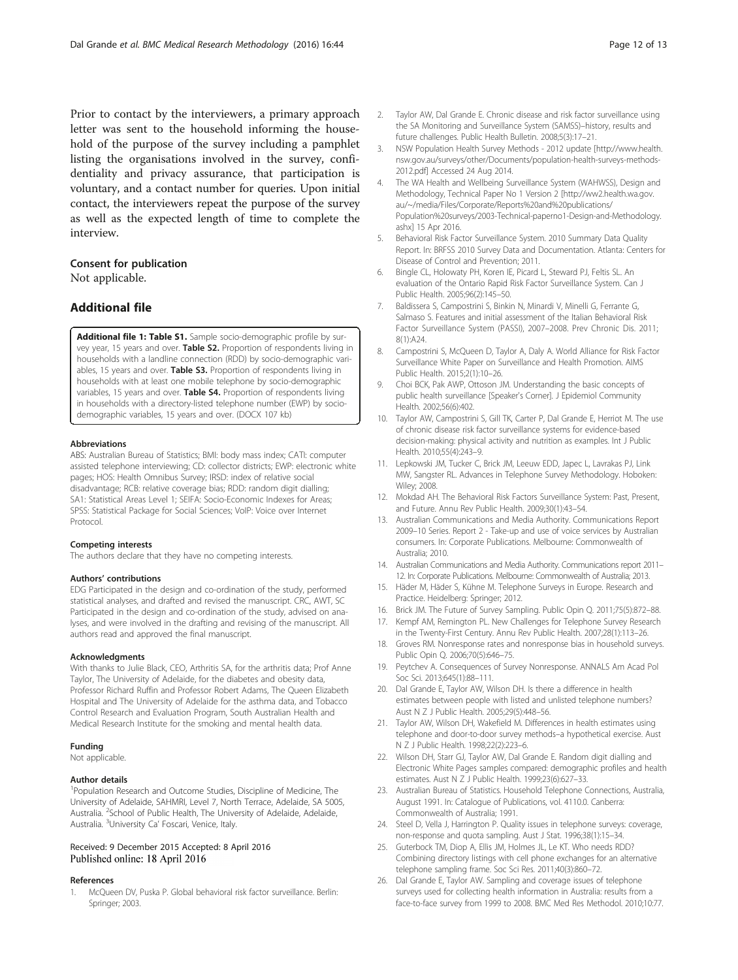<span id="page-11-0"></span>Prior to contact by the interviewers, a primary approach letter was sent to the household informing the household of the purpose of the survey including a pamphlet listing the organisations involved in the survey, confidentiality and privacy assurance, that participation is voluntary, and a contact number for queries. Upon initial contact, the interviewers repeat the purpose of the survey as well as the expected length of time to complete the interview.

#### Consent for publication

Not applicable.

### Additional file

[Additional file 1: Table S1.](dx.doi.org/10.1186/s12874-016-0145-z) Sample socio-demographic profile by survey year, 15 years and over. Table S2. Proportion of respondents living in households with a landline connection (RDD) by socio-demographic variables, 15 years and over. Table S3. Proportion of respondents living in households with at least one mobile telephone by socio-demographic variables, 15 years and over. Table S4. Proportion of respondents living in households with a directory-listed telephone number (EWP) by sociodemographic variables, 15 years and over. (DOCX 107 kb)

#### Abbreviations

ABS: Australian Bureau of Statistics; BMI: body mass index; CATI: computer assisted telephone interviewing; CD: collector districts; EWP: electronic white pages; HOS: Health Omnibus Survey; IRSD: index of relative social disadvantage; RCB: relative coverage bias; RDD: random digit dialling; SA1: Statistical Areas Level 1; SEIFA: Socio-Economic Indexes for Areas; SPSS: Statistical Package for Social Sciences; VoIP: Voice over Internet Protocol.

#### Competing interests

The authors declare that they have no competing interests.

#### Authors' contributions

EDG Participated in the design and co-ordination of the study, performed statistical analyses, and drafted and revised the manuscript. CRC, AWT, SC Participated in the design and co-ordination of the study, advised on analyses, and were involved in the drafting and revising of the manuscript. All authors read and approved the final manuscript.

#### Acknowledgments

With thanks to Julie Black, CEO, Arthritis SA, for the arthritis data; Prof Anne Taylor, The University of Adelaide, for the diabetes and obesity data, Professor Richard Ruffin and Professor Robert Adams, The Queen Elizabeth Hospital and The University of Adelaide for the asthma data, and Tobacco Control Research and Evaluation Program, South Australian Health and Medical Research Institute for the smoking and mental health data.

#### Funding

Not applicable.

#### Author details

<sup>1</sup>Population Research and Outcome Studies, Discipline of Medicine, The University of Adelaide, SAHMRI, Level 7, North Terrace, Adelaide, SA 5005, Australia. <sup>2</sup>School of Public Health, The University of Adelaide, Adelaide, Australia. <sup>3</sup>University Ca' Foscari, Venice, Italy.

#### Received: 9 December 2015 Accepted: 8 April 2016 Published online: 18 April 2016

### References

1. McQueen DV, Puska P. Global behavioral risk factor surveillance. Berlin: Springer; 2003.

- 2. Taylor AW, Dal Grande E. Chronic disease and risk factor surveillance using the SA Monitoring and Surveillance System (SAMSS)–history, results and future challenges. Public Health Bulletin. 2008;5(3):17–21.
- 3. NSW Population Health Survey Methods 2012 update [\[http://www.health.](http://www.health.nsw.gov.au/surveys/other/Documents/population-health-surveys-methods-2012.pdf) [nsw.gov.au/surveys/other/Documents/population-health-surveys-methods-](http://www.health.nsw.gov.au/surveys/other/Documents/population-health-surveys-methods-2012.pdf)[2012.pdf](http://www.health.nsw.gov.au/surveys/other/Documents/population-health-surveys-methods-2012.pdf)] Accessed 24 Aug 2014.
- 4. The WA Health and Wellbeing Surveillance System (WAHWSS), Design and Methodology, Technical Paper No 1 Version 2 [[http://ww2.health.wa.gov.](http://ww2.health.wa.gov.au/~/media/Files/Corporate/Reports%20and%20publications/Population%20surveys/2003-Technical-paperno1-Design-and-Methodology.ashx) [au/~/media/Files/Corporate/Reports%20and%20publications/](http://ww2.health.wa.gov.au/~/media/Files/Corporate/Reports%20and%20publications/Population%20surveys/2003-Technical-paperno1-Design-and-Methodology.ashx) [Population%20surveys/2003-Technical-paperno1-Design-and-Methodology.](http://ww2.health.wa.gov.au/~/media/Files/Corporate/Reports%20and%20publications/Population%20surveys/2003-Technical-paperno1-Design-and-Methodology.ashx) [ashx](http://ww2.health.wa.gov.au/~/media/Files/Corporate/Reports%20and%20publications/Population%20surveys/2003-Technical-paperno1-Design-and-Methodology.ashx)] 15 Apr 2016.
- 5. Behavioral Risk Factor Surveillance System. 2010 Summary Data Quality Report. In: BRFSS 2010 Survey Data and Documentation. Atlanta: Centers for Disease of Control and Prevention; 2011.
- 6. Bingle CL, Holowaty PH, Koren IE, Picard L, Steward PJ, Feltis SL. An evaluation of the Ontario Rapid Risk Factor Surveillance System. Can J Public Health. 2005;96(2):145–50.
- 7. Baldissera S, Campostrini S, Binkin N, Minardi V, Minelli G, Ferrante G, Salmaso S. Features and initial assessment of the Italian Behavioral Risk Factor Surveillance System (PASSI), 2007–2008. Prev Chronic Dis. 2011; 8(1):A24.
- 8. Campostrini S, McQueen D, Taylor A, Daly A. World Alliance for Risk Factor Surveillance White Paper on Surveillance and Health Promotion. AIMS Public Health. 2015;2(1):10–26.
- 9. Choi BCK, Pak AWP, Ottoson JM. Understanding the basic concepts of public health surveillance [Speaker's Corner]. J Epidemiol Community Health. 2002;56(6):402.
- 10. Taylor AW, Campostrini S, Gill TK, Carter P, Dal Grande E, Herriot M. The use of chronic disease risk factor surveillance systems for evidence-based decision-making: physical activity and nutrition as examples. Int J Public Health. 2010;55(4):243–9.
- 11. Lepkowski JM, Tucker C, Brick JM, Leeuw EDD, Japec L, Lavrakas PJ, Link MW, Sangster RL. Advances in Telephone Survey Methodology. Hoboken: Wiley; 2008.
- 12. Mokdad AH. The Behavioral Risk Factors Surveillance System: Past, Present, and Future. Annu Rev Public Health. 2009;30(1):43–54.
- 13. Australian Communications and Media Authority. Communications Report 2009–10 Series. Report 2 - Take-up and use of voice services by Australian consumers. In: Corporate Publications. Melbourne: Commonwealth of Australia; 2010.
- 14. Australian Communications and Media Authority. Communications report 2011– 12. In: Corporate Publications. Melbourne: Commonwealth of Australia; 2013.
- 15. Häder M, Häder S, Kühne M. Telephone Surveys in Europe. Research and Practice. Heidelberg: Springer; 2012.
- 16. Brick JM. The Future of Survey Sampling. Public Opin Q. 2011;75(5):872–88.
- 17. Kempf AM, Remington PL. New Challenges for Telephone Survey Research in the Twenty-First Century. Annu Rev Public Health. 2007;28(1):113–26.
- 18. Groves RM. Nonresponse rates and nonresponse bias in household surveys. Public Opin Q. 2006;70(5):646–75.
- 19. Peytchev A. Consequences of Survey Nonresponse. ANNALS Am Acad Pol Soc Sci. 2013;645(1):88–111.
- 20. Dal Grande E, Taylor AW, Wilson DH. Is there a difference in health estimates between people with listed and unlisted telephone numbers? Aust N Z J Public Health. 2005;29(5):448–56.
- 21. Taylor AW, Wilson DH, Wakefield M. Differences in health estimates using telephone and door-to-door survey methods–a hypothetical exercise. Aust N Z J Public Health. 1998;22(2):223–6.
- 22. Wilson DH, Starr GJ, Taylor AW, Dal Grande E. Random digit dialling and Electronic White Pages samples compared: demographic profiles and health estimates. Aust N Z J Public Health. 1999;23(6):627–33.
- 23. Australian Bureau of Statistics. Household Telephone Connections, Australia, August 1991. In: Catalogue of Publications, vol. 4110.0. Canberra: Commonwealth of Australia; 1991.
- 24. Steel D, Vella J, Harrington P. Quality issues in telephone surveys: coverage, non-response and quota sampling. Aust J Stat. 1996;38(1):15–34.
- 25. Guterbock TM, Diop A, Ellis JM, Holmes JL, Le KT. Who needs RDD? Combining directory listings with cell phone exchanges for an alternative telephone sampling frame. Soc Sci Res. 2011;40(3):860–72.
- 26. Dal Grande E, Taylor AW. Sampling and coverage issues of telephone surveys used for collecting health information in Australia: results from a face-to-face survey from 1999 to 2008. BMC Med Res Methodol. 2010;10:77.